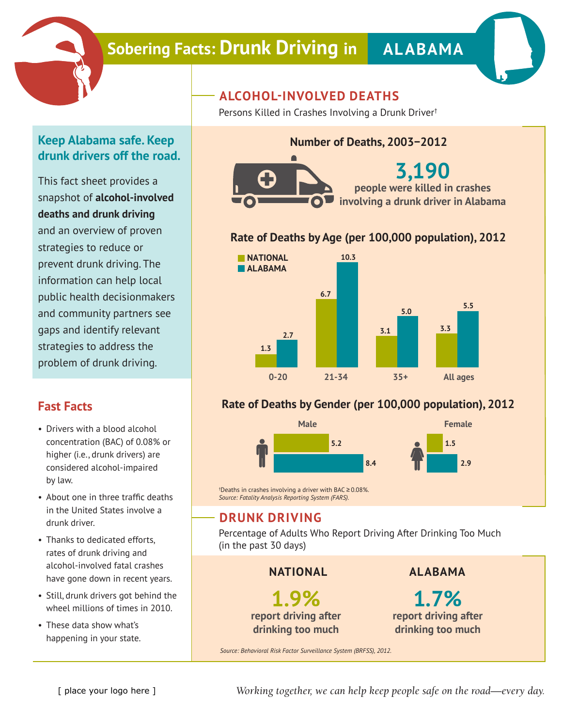

# **Sobering Facts: Drunk Driving in ALABAMA**



## **Keep Alabama safe. Keep drunk drivers off the road.**

This fact sheet provides a snapshot of **alcohol-involved deaths and drunk driving** and an overview of proven strategies to reduce or prevent drunk driving. The information can help local public health decisionmakers and community partners see gaps and identify relevant strategies to address the problem of drunk driving.

#### **Fast Facts**

- Drivers with a blood alcohol concentration (BAC) of 0.08% or higher (i.e., drunk drivers) are considered alcohol-impaired by law.
- About one in three traffic deaths in the United States involve a drunk driver.
- Thanks to dedicated efforts, rates of drunk driving and alcohol-involved fatal crashes have gone down in recent years.
- Still, drunk drivers got behind the wheel millions of times in 2010.
- These data show what's happening in your state.

## **ALCOHOL-INVOLVED DEATHS**

Persons Killed in Crashes Involving a Drunk Driver†

### **Number of Deaths, 2003−2012**



#### **Rate of Deaths by Age (per 100,000 population), 2012**



#### **Rate of Deaths by Gender (per 100,000 population), 2012**



† Deaths in crashes involving a driver with BAC ≥ 0.08%. *Source: Fatality Analysis Reporting System (FARS).*

#### **DRUNK DRIVING**

Percentage of Adults Who Report Driving After Drinking Too Much (in the past 30 days)

**NATIONAL**

**1.9% report driving after drinking too much**

**ALABAMA**

**1.7% report driving after drinking too much**

*Source: Behavioral Risk Factor Surveillance System (BRFSS), 2012.*

*Working together, we can help keep people safe on the road—every day.*